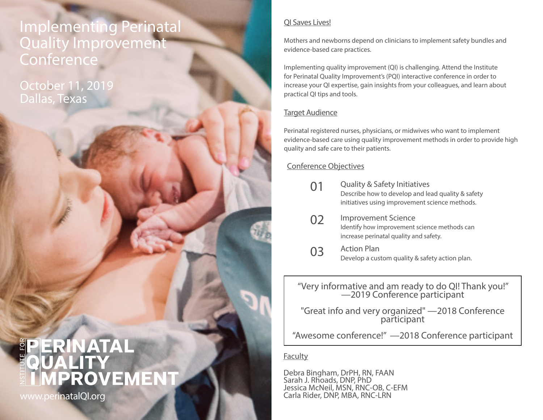## Implementing Perinatal Quality Improvement **Conference**

October 11, 2019 Dallas, Texas

#### QI Saves Lives!

Mothers and newborns depend on clinicians to implement safety bundles and evidence-based care practices.

Implementing quality improvement (QI) is challenging. Attend the Institute for Perinatal Quality Improvement's (PQI) interactive conference in order to increase your QI expertise, gain insights from your colleagues, and learn about practical QI tips and tools.

#### Target Audience

Perinatal registered nurses, physicians, or midwives who want to implement evidence-based care using quality improvement methods in order to provide high quality and safe care to their patients.

### Conference Objectives

- Quality & Safety Initiatives Describe how to develop and lead quality & safety initiatives using improvement science methods. 01
- Improvement Science Identify how improvement science methods can increase perinatal quality and safety. 02
- 03 Action Plan Develop a custom quality & safety action plan.

"Very informative and am ready to do QI! Thank you!" —2019 Conference participant

"Great info and very organized" —2018 Conference participant

"Awesome conference!" —2018 Conference participant

#### Faculty

Debra Bingham, DrPH, RN, FAAN Sarah J. Rhoads, DNP, PhD Jessica McNeil, MSN, RNC-OB, C-EFM<br>Carla Rider, DNP, MBA, RNC-LRN

# ERINATAL **IPROVEMENT**

www.perinatalQI.org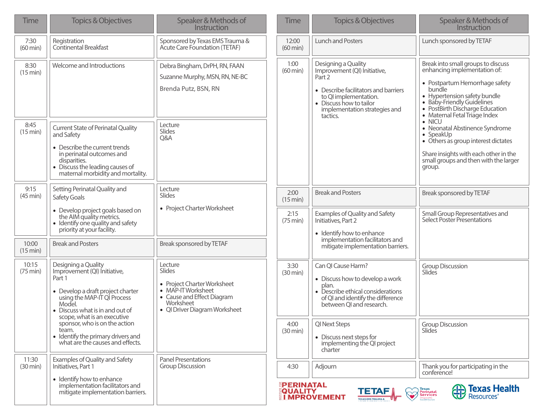| <b>Time</b>                 | <b>Topics &amp; Objectives</b>                                                                                                                                                                                | Speaker & Methods of<br>Instruction                                                                                                                | <b>Time</b>                         | <b>Topics &amp; Objectives</b>                                                                                                                                                                         | Speaker & Methods of<br>Instruction                                                                                                                                                                                                              |
|-----------------------------|---------------------------------------------------------------------------------------------------------------------------------------------------------------------------------------------------------------|----------------------------------------------------------------------------------------------------------------------------------------------------|-------------------------------------|--------------------------------------------------------------------------------------------------------------------------------------------------------------------------------------------------------|--------------------------------------------------------------------------------------------------------------------------------------------------------------------------------------------------------------------------------------------------|
| 7:30<br>$(60 \text{ min})$  | Registration<br><b>Continental Breakfast</b>                                                                                                                                                                  | Sponsored by Texas EMS Trauma &<br>Acute Care Foundation (TETAF)                                                                                   | 12:00<br>$(60 \text{ min})$         | <b>Lunch and Posters</b>                                                                                                                                                                               | Lunch sponsored by TETAF                                                                                                                                                                                                                         |
| 8:30<br>(15 min)            | Welcome and Introductions                                                                                                                                                                                     | Debra Bingham, DrPH, RN, FAAN<br>Suzanne Murphy, MSN, RN, NE-BC<br>Brenda Putz, BSN, RN                                                            | 1:00<br>$(60 \text{ min})$          | Designing a Quality<br>Improvement (QI) Initiative,<br>Part 2<br>• Describe facilitators and barriers<br>to QI implementation.<br>• Discuss how to tailor<br>implementation strategies and<br>tactics. | Break into small groups to discuss<br>enhancing implementation of:<br>• Postpartum Hemorrhage safety<br>bundle<br>• Hypertension safety bundle<br>• Baby-Friendly Guidelines<br>• PostBirth Discharge Education<br>• Maternal Fetal Triage Index |
| 8:45<br>(15 min)            | <b>Current State of Perinatal Quality</b><br>and Safety<br>• Describe the current trends<br>in perinatal outcomes and<br>disparities.<br>• Discuss the leading causes of<br>maternal morbidity and mortality. | Lecture<br>Slides<br>Q&A                                                                                                                           |                                     |                                                                                                                                                                                                        | $\bullet$ NICU<br>• Neonatal Abstinence Syndrome<br>$\bullet$ SpeakUp<br>• Others as group interest dictates<br>Share insights with each other in the<br>small groups and then with the larger<br>group.                                         |
| 9:15<br>(45 min)            | Setting Perinatal Quality and<br>Safety Goals                                                                                                                                                                 | Lecture<br>Slides                                                                                                                                  | 2:00<br>(15 min)                    | <b>Break and Posters</b>                                                                                                                                                                               | Break sponsored by TETAF                                                                                                                                                                                                                         |
|                             | • Develop project goals based on<br>the AIM quality metrics.<br>• Identify one quality and safety<br>priority at your facility.                                                                               | • Project Charter Worksheet                                                                                                                        | 2:15<br>$(75 \text{ min})$          | Examples of Quality and Safety<br>Initiatives, Part 2<br>• Identify how to enhance                                                                                                                     | Small Group Representatives and<br>Select Poster Presentations                                                                                                                                                                                   |
| 10:00<br>(15 min)           | <b>Break and Posters</b>                                                                                                                                                                                      | Break sponsored by TETAF                                                                                                                           |                                     | implementation facilitators and<br>mitigate implementation barriers.                                                                                                                                   |                                                                                                                                                                                                                                                  |
| 10:15<br>$(75 \text{ min})$ | Designing a Quality<br>Improvement (QI) Initiative,<br>Part 1<br>• Develop a draft project charter<br>using the MAP-IT QI Process<br>Model.<br>• Discuss what is in and out of<br>scope, what is an executive | Lecture<br>Slides<br>• Project Charter Worksheet<br>• MAP-IT Worksheet<br>• Cause and Effect Diagram<br>Worksheet<br>· QI Driver Diagram Worksheet | 3:30<br>$(30 \text{ min})$          | Can QI Cause Harm?<br>• Discuss how to develop a work<br>plan.<br>• Describe ethical considerations<br>of QI and identify the difference<br>between QI and research.                                   | <b>Group Discussion</b><br>Slides                                                                                                                                                                                                                |
|                             | sponsor, who is on the action<br>team.<br>• Identify the primary drivers and<br>what are the causes and effects.                                                                                              |                                                                                                                                                    | 4:00<br>$(30 \text{ min})$          | QI Next Steps<br>• Discuss next steps for<br>implementing the QI project<br>charter                                                                                                                    | <b>Group Discussion</b><br><b>Slides</b>                                                                                                                                                                                                         |
| 11:30<br>$(30 \text{ min})$ | Examples of Quality and Safety<br>Initiatives, Part 1                                                                                                                                                         | <b>Panel Presentations</b><br><b>Group Discussion</b>                                                                                              | 4:30                                | Adjourn                                                                                                                                                                                                | Thank you for participating in the<br>conference!                                                                                                                                                                                                |
|                             | • Identify how to enhance<br>implementation facilitators and<br>mitigate implementation barriers.                                                                                                             |                                                                                                                                                    | <b>EPERINATAL</b><br><b>QUALITY</b> | <b>TETAF</b><br><b>I MPROVEMENT</b><br><b>TEXAS EMS TRAUMA &amp;</b>                                                                                                                                   | <b>Texas Health</b><br>⊕<br>Texas<br>Perinatal<br>Services<br>Resources <sup>®</sup>                                                                                                                                                             |